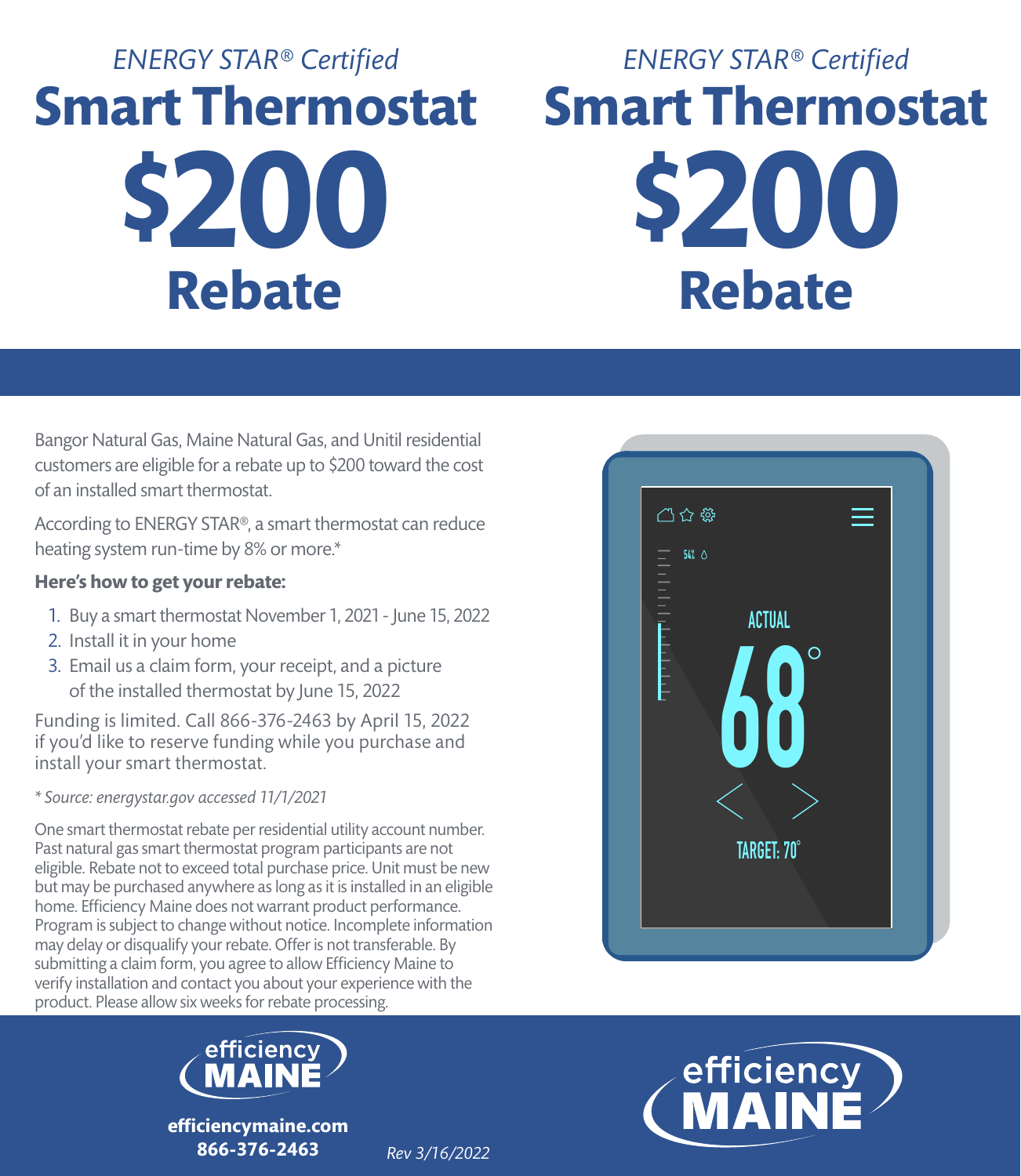# **\$200 Rebate** *ENERGY STAR® Certified* **Smart Thermostat**

## **\$200 Rebate** *ENERGY STAR® Certified* **Smart Thermostat**

Bangor Natural Gas, Maine Natural Gas, and Unitil residential customers are eligible for a rebate up to \$200 toward the cost of an installed smart thermostat.

According to ENERGY STAR®, a smart thermostat can reduce heating system run-time by 8% or more.\*

#### **Here's how to get your rebate:**

- 1. Buy a smart thermostat November 1, 2021 June 15, 2022
- 2. Install it in your home
- 3. Email us a claim form, your receipt, and a picture of the installed thermostat by June 15, 2022

Funding is limited. Call 866-376-2463 by April 15, 2022 if you'd like to reserve funding while you purchase and install your smart thermostat.

*\* Source: energystar.gov accessed 11/1/2021*

One smart thermostat rebate per residential utility account number. Past natural gas smart thermostat program participants are not eligible. Rebate not to exceed total purchase price. Unit must be new but may be purchased anywhere as long as it is installed in an eligible home. Efficiency Maine does not warrant product performance. Program is subject to change without notice. Incomplete information may delay or disqualify your rebate. Offer is not transferable. By submitting a claim form, you agree to allow Efficiency Maine to verify installation and contact you about your experience with the product. Please allow six weeks for rebate processing.



**efficiencymaine.com 866-376-2463**





*Rev 3/16/2022*